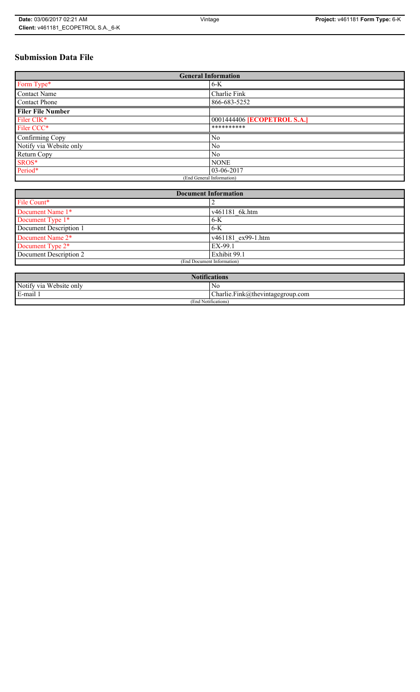## **Submission Data File**

| <b>General Information</b> |                             |  |
|----------------------------|-----------------------------|--|
| Form Type*                 | 6-K                         |  |
| <b>Contact Name</b>        | Charlie Fink                |  |
| Contact Phone              | 866-683-5252                |  |
| <b>Filer File Number</b>   |                             |  |
| Filer CIK*                 | 0001444406 [ECOPETROL S.A.] |  |
| Filer CCC*                 | **********                  |  |
| Confirming Copy            | N <sub>0</sub>              |  |
| Notify via Website only    | No                          |  |
| Return Copy                | N <sub>0</sub>              |  |
| SROS*                      | <b>NONE</b>                 |  |
| Period*                    | 03-06-2017                  |  |
| (End General Information)  |                             |  |

| <b>Document Information</b>  |                    |  |
|------------------------------|--------------------|--|
| File Count*                  |                    |  |
| Document Name 1*             | v461181 6k.htm     |  |
| Document Type 1*             | $6-K$              |  |
| Document Description 1       | $6-K$              |  |
| Document Name 2 <sup>*</sup> | v461181 ex99-1.htm |  |
| Document Type 2*             | EX-99.1            |  |
| Document Description 2       | Exhibit 99.1       |  |
| (End Document Information)   |                    |  |

| <b>Notifications</b>    |                                  |  |  |
|-------------------------|----------------------------------|--|--|
| Notify via Website only | N0                               |  |  |
| E-mail                  | Charlie.Fink@thevintagegroup.com |  |  |
| (End Notifications)     |                                  |  |  |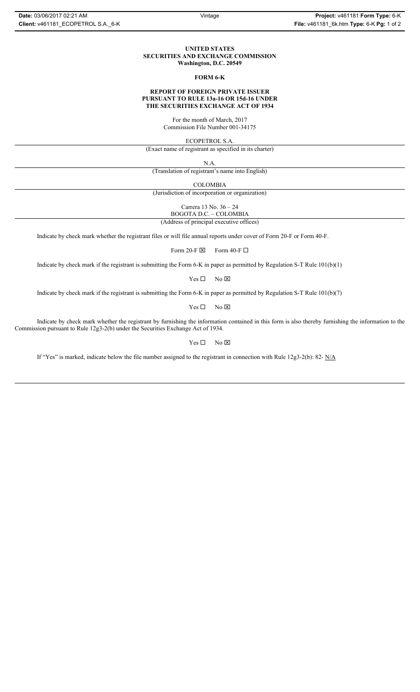#### **UNITED STATES SECURITIES AND EXCHANGE COMMISSION Washington, D.C. 20549**

#### **FORM 6-K**

#### **REPORT OF FOREIGN PRIVATE ISSUER PURSUANT TO RULE 13a-16 OR 15d-16 UNDER THE SECURITIES EXCHANGE ACT OF 1934**

For the month of March, 2017 Commission File Number 001-34175

ECOPETROL S.A.

(Exact name of registrant as specified in its charter)

N.A.

(Translation of registrant's name into English)

COLOMBIA

(Jurisdiction of incorporation or organization)

Carrera 13 No. 36 – 24

BOGOTA D.C. – COLOMBIA

(Address of principal executive offices)

Indicate by check mark whether the registrant files or will file annual reports under cover of Form 20-F or Form 40-F.

Form 20-F  $\boxtimes$  Form 40-F  $\Box$ 

Indicate by check mark if the registrant is submitting the Form 6-K in paper as permitted by Regulation S-T Rule 101(b)(1)

 $Yes \Box$  No  $\boxtimes$ 

Indicate by check mark if the registrant is submitting the Form 6-K in paper as permitted by Regulation S-T Rule 101(b)(7)

 $Yes \Box$  No  $\boxtimes$ 

Indicate by check mark whether the registrant by furnishing the information contained in this form is also thereby furnishing the information to the Commission pursuant to Rule 12g3-2(b) under the Securities Exchange Act of 1934.

 $Yes \Box$  No  $\boxtimes$ 

If "Yes" is marked, indicate below the file number assigned to the registrant in connection with Rule 12g3-2(b): 82- N/A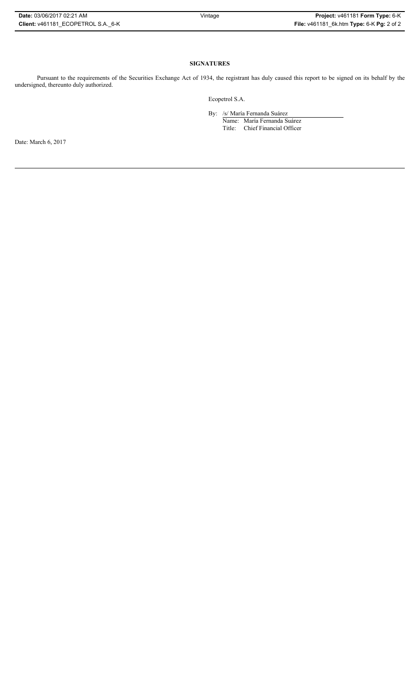| Date: 03/06/2017 02:21 AM          | Vintage | Project: v461181 Form Type: 6-K           |
|------------------------------------|---------|-------------------------------------------|
| Client: v461181 ECOPETROL S.A. 6-K |         | File: v461181_6k.htm Type: 6-K Pg: 2 of 2 |

## **SIGNATURES**

Pursuant to the requirements of the Securities Exchange Act of 1934, the registrant has duly caused this report to be signed on its behalf by the undersigned, thereunto duly authorized.

Ecopetrol S.A.

By: /s/ María Fernanda Suárez

Name: María Fernanda Suárez Title: Chief Financial Officer

Date: March 6, 2017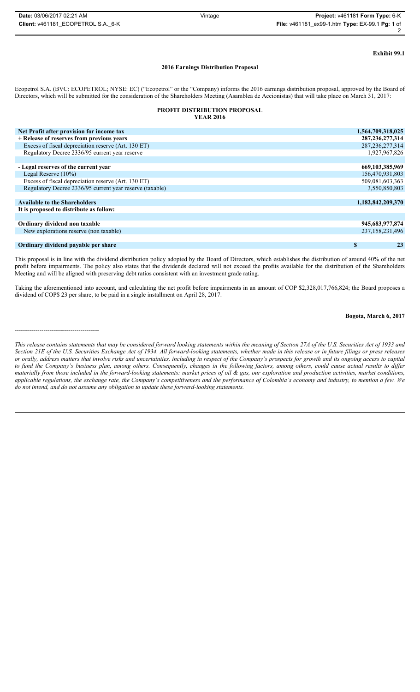-----------------------------------------

# **Exhibit 99.1**

#### **2016 Earnings Distribution Proposal**

Ecopetrol S.A. (BVC: ECOPETROL; NYSE: EC) ("Ecopetrol" or the "Company) informs the 2016 earnings distribution proposal, approved by the Board of Directors, which will be submitted for the consideration of the Shareholders Meeting (Asamblea de Accionistas) that will take place on March 31, 2017:

### **PROFIT DISTRIBUTION PROPOSAL**

## **YEAR 2016**

| Net Profit after provision for income tax                | 1,564,709,318,025  |
|----------------------------------------------------------|--------------------|
| + Release of reserves from previous years                | 287, 236, 277, 314 |
| Excess of fiscal depreciation reserve (Art. 130 ET)      | 287, 236, 277, 314 |
| Regulatory Decree 2336/95 current year reserve           | 1,927,967,826      |
|                                                          |                    |
| - Legal reserves of the current year                     | 669, 103, 385, 969 |
| Legal Reserve $(10\%)$                                   | 156,470,931,803    |
| Excess of fiscal depreciation reserve (Art. 130 ET)      | 509,081,603,363    |
| Regulatory Decree 2336/95 current year reserve (taxable) | 3,550,850,803      |
|                                                          |                    |
| <b>Available to the Shareholders</b>                     | 1,182,842,209,370  |
| It is proposed to distribute as follow:                  |                    |
|                                                          |                    |
| Ordinary dividend non taxable                            | 945, 683, 977, 874 |
| New explorations reserve (non taxable)                   | 237,158,231,496    |
|                                                          |                    |
| Ordinary dividend payable per share                      | S<br>23            |

This proposal is in line with the dividend distribution policy adopted by the Board of Directors, which establishes the distribution of around 40% of the net profit before impairments. The policy also states that the dividends declared will not exceed the profits available for the distribution of the Shareholders Meeting and will be aligned with preserving debt ratios consistent with an investment grade rating.

Taking the aforementioned into account, and calculating the net profit before impairments in an amount of COP \$2,328,017,766,824; the Board proposes a dividend of COP\$ 23 per share, to be paid in a single installment on April 28, 2017.

#### **Bogota, March 6, 2017**

*This release contains statements that may be considered forward looking statements within the meaning of Section 27A of the U.S. Securities Act of 1933 and Section 21E of the U.S. Securities Exchange Act of 1934. All forward-looking statements, whether made in this release or in future filings or press releases or orally, address matters that involve risks and uncertainties, including in respect of the Company's prospects for growth and its ongoing access to capital to fund the Company's business plan, among others. Consequently, changes in the following factors, among others, could cause actual results to differ materially from those included in the forward-looking statements: market prices of oil & gas, our exploration and production activities, market conditions, applicable regulations, the exchange rate, the Company's competitiveness and the performance of Colombia's economy and industry, to mention a few. We do not intend, and do not assume any obligation to update these forward-looking statements.*